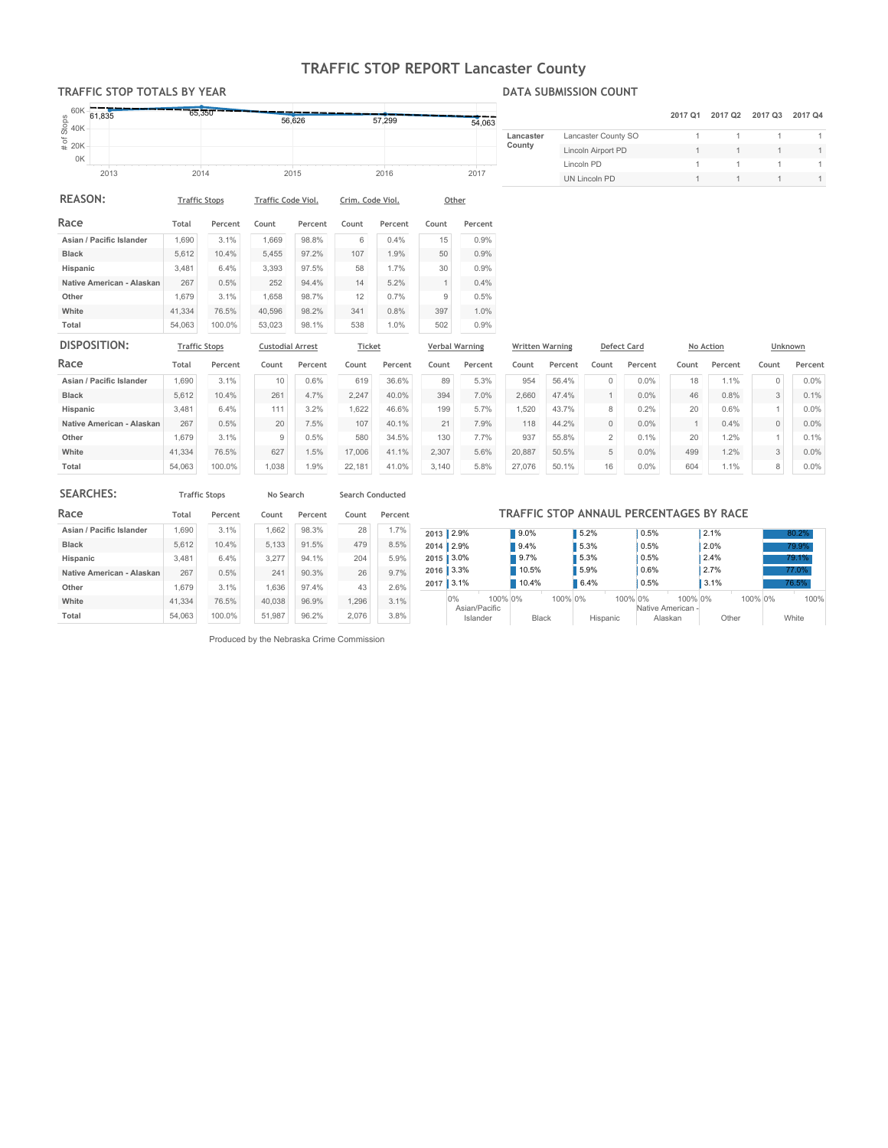# TRAFFIC STOP REPORT Lancaster County

### TRAFFIC STOP TOTALS BY YEAR

Other White

Total 54,063

41,334 1,679

### DATA SUBMISSION COUNT

| 60K                                      | 65,350               |         |                         |         |                  |         |              |                       |                        |         |                     |                    |         |                     |              |         |
|------------------------------------------|----------------------|---------|-------------------------|---------|------------------|---------|--------------|-----------------------|------------------------|---------|---------------------|--------------------|---------|---------------------|--------------|---------|
| 61,835                                   |                      |         |                         | 56,626  |                  | 57,299  |              | 54,063                |                        |         |                     |                    | 2017 Q1 | 2017 Q <sub>2</sub> | 2017 Q3      | 2017 Q4 |
| $\frac{8}{60}$ 40K<br>$\frac{6}{60}$ 40K |                      |         |                         |         |                  |         |              |                       | Lancaster              |         | Lancaster County SO |                    |         |                     |              |         |
|                                          |                      |         |                         |         |                  |         |              |                       | County                 |         | Lincoln Airport PD  |                    |         |                     | 1            |         |
| 0K                                       |                      |         |                         |         |                  |         |              |                       |                        |         | Lincoln PD          |                    |         |                     |              |         |
| 2013                                     | 2014                 |         |                         | 2015    |                  | 2016    |              | 2017                  |                        |         | UN Lincoln PD       |                    |         |                     | 1            |         |
| <b>REASON:</b>                           | <b>Traffic Stops</b> |         | Traffic Code Viol.      |         | Crim. Code Viol. |         | Other        |                       |                        |         |                     |                    |         |                     |              |         |
| Race                                     | Total                | Percent | Count                   | Percent | Count            | Percent | Count        | Percent               |                        |         |                     |                    |         |                     |              |         |
| Asian / Pacific Islander                 | 1,690                | 3.1%    | 1,669                   | 98.8%   | 6                | 0.4%    | 15           | 0.9%                  |                        |         |                     |                    |         |                     |              |         |
| <b>Black</b>                             | 5,612                | 10.4%   | 5,455                   | 97.2%   | 107              | 1.9%    | 50           | 0.9%                  |                        |         |                     |                    |         |                     |              |         |
| Hispanic                                 | 3,481                | 6.4%    | 3,393                   | 97.5%   | 58               | 1.7%    | 30           | 0.9%                  |                        |         |                     |                    |         |                     |              |         |
| Native American - Alaskan                | 267                  | 0.5%    | 252                     | 94.4%   | 14               | 5.2%    | $\mathbf{1}$ | 0.4%                  |                        |         |                     |                    |         |                     |              |         |
| Other                                    | 1,679                | 3.1%    | 1,658                   | 98.7%   | 12               | 0.7%    | 9            | 0.5%                  |                        |         |                     |                    |         |                     |              |         |
| White                                    | 41,334               | 76.5%   | 40,596                  | 98.2%   | 341              | 0.8%    | 397          | 1.0%                  |                        |         |                     |                    |         |                     |              |         |
| Total                                    | 54,063               | 100.0%  | 53,023                  | 98.1%   | 538              | 1.0%    | 502          | 0.9%                  |                        |         |                     |                    |         |                     |              |         |
| DISPOSITION:                             | <b>Traffic Stops</b> |         | <b>Custodial Arrest</b> |         | Ticket           |         |              | <b>Verbal Warning</b> | <b>Written Warning</b> |         |                     | <b>Defect Card</b> |         | No Action           |              | Unknown |
| Race                                     | Total                | Percent | Count                   | Percent | Count            | Percent | Count        | Percent               | Count                  | Percent | Count               | Percent            | Count   | Percent             | Count        | Percent |
| Asian / Pacific Islander                 | 1,690                | 3.1%    | 10                      | 0.6%    | 619              | 36.6%   | 89           | 5.3%                  | 954                    | 56.4%   | $\mathbf{0}$        | 0.0%               | 18      | 1.1%                | $\mathbf{0}$ | 0.0%    |
| <b>Black</b>                             | 5,612                | 10.4%   | 261                     | 4.7%    | 2,247            | 40.0%   | 394          | 7.0%                  | 2,660                  | 47.4%   | $\mathbf{1}$        | 0.0%               | 46      | 0.8%                | 3            | 0.1%    |
| Hispanic                                 | 3,481                | 6.4%    | 111                     | 3.2%    | 1,622            | 46.6%   | 199          | 5.7%                  | 1,520                  | 43.7%   | 8                   | 0.2%               | 20      | 0.6%                |              | 0.0%    |
| Native American - Alaskan                | 267                  | 0.5%    | 20                      | 7.5%    | 107              | 40.1%   | 21           | 7.9%                  | 118                    | 44.2%   | $\mathbf{0}$        | 0.0%               |         | 0.4%                | $\mathbf{0}$ | 0.0%    |

3,140 2,307 130 5.8% 5.6% 7.7% 27,076 20,887 937

50.1% 50.5% 55.8%

| <b>SEARCHES:</b>          |        | <b>Traffic Stops</b> | No Search |         | Search Conducted |         |  |  |
|---------------------------|--------|----------------------|-----------|---------|------------------|---------|--|--|
| Race                      | Total  | Percent              | Count     | Percent | Count            | Percent |  |  |
| Asian / Pacific Islander  | 1.690  | 3.1%                 | 1.662     | 98.3%   | 28               | 1.7%    |  |  |
| <b>Black</b>              | 5.612  | 10.4%                | 5.133     | 91.5%   | 479              | 8.5%    |  |  |
| Hispanic                  | 3.481  | 6.4%                 | 3.277     | 94.1%   | 204              | 5.9%    |  |  |
| Native American - Alaskan | 267    | 0.5%                 | 241       | 90.3%   | 26               | 9.7%    |  |  |
| Other                     | 1.679  | 3.1%                 | 1.636     | 97.4%   | 43               | 2.6%    |  |  |
| White                     | 41.334 | 76.5%                | 40.038    | 96.9%   | 1.296            | 3.1%    |  |  |
| Total                     | 54.063 | 100.0%               | 51.987    | 96.2%   | 2.076            | 3.8%    |  |  |

100.0% 76.5% 3.1% 1,038 627 9

1.9% 1.5% 0.5%

22,181 17,006 580 41.0% 41.1% 34.5%

|      | TRAFFIC STOP ANNAUL PERCENTAGES BY RACE |              |          |                              |         |       |  |  |  |  |  |  |  |  |
|------|-----------------------------------------|--------------|----------|------------------------------|---------|-------|--|--|--|--|--|--|--|--|
|      | 2013 2.9%                               | 9.0%         | 5.2%     | 0.5%                         | 2.1%    | 80.2% |  |  |  |  |  |  |  |  |
|      | $2014$ 2.9%                             | 9.4%         | 5.3%     | 0.5%                         | 2.0%    | 79.9% |  |  |  |  |  |  |  |  |
| 2015 | 3.0%                                    | 9.7%         | 5.3%     | 0.5%                         | 2.4%    | 79.1% |  |  |  |  |  |  |  |  |
| 2016 | 3.3%                                    | 10.5%        | 5.9%     | 0.6%                         | 2.7%    | 77.0% |  |  |  |  |  |  |  |  |
| 2017 | 3.1%                                    | 10.4%        | 6.4%     | 0.5%                         | 3.1%    | 76.5% |  |  |  |  |  |  |  |  |
|      | 0%<br>100% 0%<br>Asian/Pacific          | 100% 0%      | 100% 0%  | 100% 0%<br>Native American - | 100% 0% | 100%  |  |  |  |  |  |  |  |  |
|      | Islander                                | <b>Black</b> | Hispanic | Alaskan                      | Other   | White |  |  |  |  |  |  |  |  |

0.0% 0.0% 0.1% 604 499 20

1.1% 1.2% 1.2%

8 3 1 0.0% 0.0% 0.1%

Produced by the Nebraska Crime Commission

#### TRAFFIC STOP ANNAUL PERCENTAGES BY RACE

16 5 2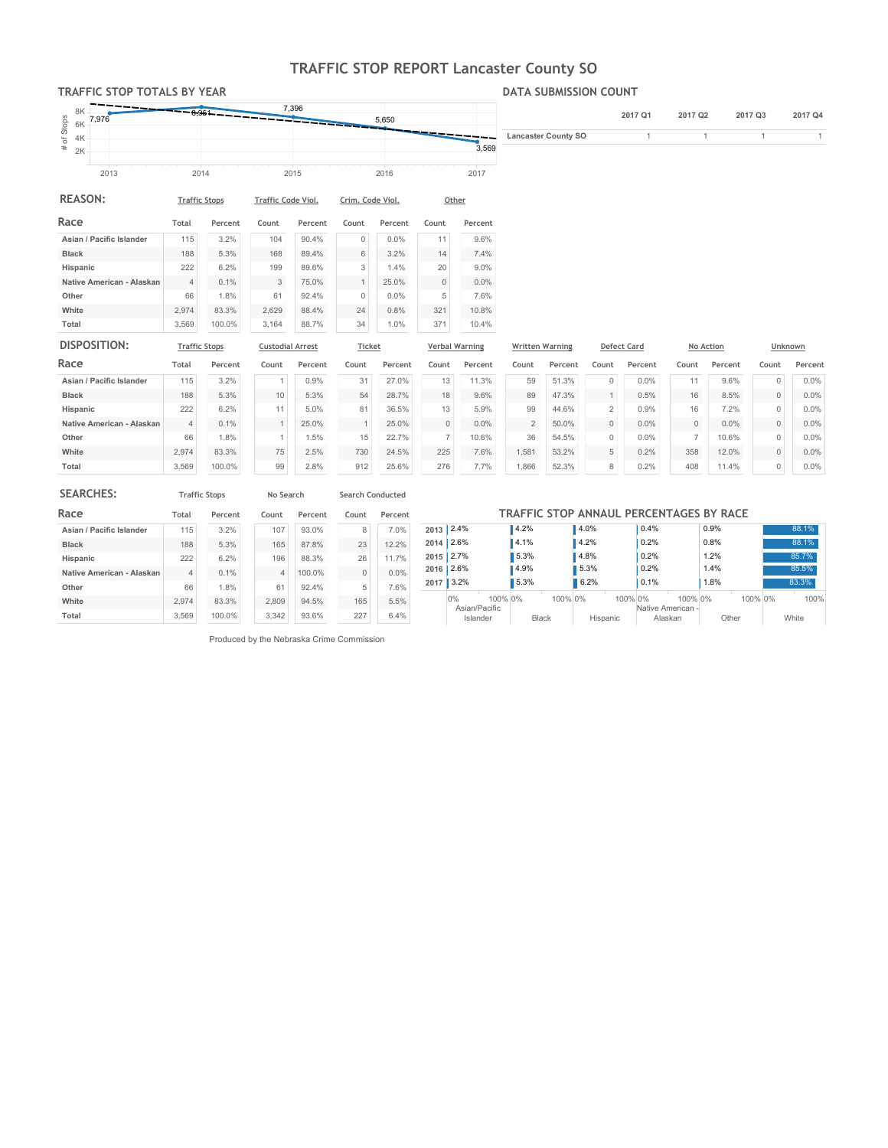# TRAFFIC STOP REPORT Lancaster County SO

3,569

### TRAFFIC STOP TOTALS BY YEAR

#### DATA SUBMISSION COUNT

2017Q1 2017Q2 2017Q3 2017Q4

LancasterCountySO 1 1 1 1

| Stops  | 8K<br>6K | 7,976 | $-9951$ |      | 7,396 | 5,650        |
|--------|----------|-------|---------|------|-------|--------------|
| ৳<br># | 4K<br>2K |       |         |      |       | 3.569        |
|        |          | 2013  |         | 2014 | 2015  | 2016<br>2017 |

| <b>REASON:</b>            | <b>Traffic Stops</b> |         | <b>Traffic Code Viol.</b> |         | Crim. Code Viol. |         | Other    |         |  |
|---------------------------|----------------------|---------|---------------------------|---------|------------------|---------|----------|---------|--|
| Race                      | Total                | Percent | Count                     | Percent | Count            | Percent | Count    | Percent |  |
| Asian / Pacific Islander  | 115                  | 3.2%    | 104                       | 90.4%   | 0                | 0.0%    | 11       | 9.6%    |  |
| <b>Black</b>              | 188                  | 5.3%    | 168                       | 89.4%   | 6                | 3.2%    | 14       | 7.4%    |  |
| Hispanic                  | 222                  | 6.2%    | 199                       | 89.6%   | 3                | 1.4%    | 20       | 9.0%    |  |
| Native American - Alaskan | $\overline{4}$       | 0.1%    | 3                         | 75.0%   | $\mathbf{1}$     | 25.0%   | $\Omega$ | $0.0\%$ |  |
| Other                     | 66                   | 1.8%    | 61                        | 92.4%   | $\Omega$         | 0.0%    | 5        | 7.6%    |  |
| White                     | 2.974                | 83.3%   | 2.629                     | 88.4%   | 24               | 0.8%    | 321      | 10.8%   |  |
| Total                     | 3.569                | 100.0%  | 3.164                     | 88.7%   | 34               | 1.0%    | 371      | 10.4%   |  |

| DISPOSITION:              | <b>Traffic Stops</b> |         | <b>Custodial Arrest</b> |         | <b>Ticket</b> |         | <b>Verbal Warning</b> |         | <b>Written Warning</b> |         |          | <b>Defect Card</b> |          | No Action | Unknown  |         |
|---------------------------|----------------------|---------|-------------------------|---------|---------------|---------|-----------------------|---------|------------------------|---------|----------|--------------------|----------|-----------|----------|---------|
| Race                      | Total                | Percent | Count                   | Percent | Count         | Percent | Count                 | Percent | Count                  | Percent | Count    | Percent            | Count    | Percent   | Count    | Percent |
| Asian / Pacific Islander  | 115                  | 3.2%    |                         | 0.9%    | 31            | 27.0%   | 13                    | 11.3%   | 59                     | 51.3%   | $\Omega$ | 0.0%               | 11       | 9.6%      |          | 0.0%    |
| <b>Black</b>              | 188                  | 5.3%    | 10                      | 5.3%    | 54            | 28.7%   | 18                    | 9.6%    | 89                     | 47.3%   |          | 0.5%               | 16       | 8.5%      | $\Omega$ | 0.0%    |
| Hispanic                  | 222                  | 6.2%    | 11                      | 5.0%    | 81            | 36.5%   | 13                    | 5.9%    | 99                     | 44.6%   | $\Omega$ | 0.9%               | 16       | 7.2%      | $\Omega$ | $0.0\%$ |
| Native American - Alaskan | 4                    | 0.1%    |                         | 25.0%   |               | 25.0%   | 0                     | $0.0\%$ |                        | 50.0%   | $\Omega$ | 0.0%               | $\Omega$ | 0.0%      |          | 0.0%    |
| Other                     | 66                   | 1.8%    |                         | 1.5%    | 15            | 22.7%   |                       | 10.6%   | 36                     | 54.5%   | $\Omega$ | 0.0%               |          | 10.6%     | $\Omega$ | $0.0\%$ |
| White                     | 2.974                | 83.3%   | 75                      | 2.5%    | 730           | 24.5%   | 225                   | 7.6%    | 1.581                  | 53.2%   | 5        | 0.2%               | 358      | 12.0%     | $\Omega$ | 0.0%    |
| Total                     | 3,569                | 100.0%  | 99                      | 2.8%    | 912           | 25.6%   | 276                   | 7.7%    | ,866                   | 52.3%   | 8        | 0.2%               | 408      | 11.4%     | $\Omega$ | 0.0%    |

| <b>SEARCHES:</b>          |       | <b>Traffic Stops</b> | No Search |         | <b>Search Conducted</b> |         |      |                           |         |                                         |          |         |                              |         |       |         |       |
|---------------------------|-------|----------------------|-----------|---------|-------------------------|---------|------|---------------------------|---------|-----------------------------------------|----------|---------|------------------------------|---------|-------|---------|-------|
| Race                      | Total | Percent              | Count     | Percent | Count                   | Percent |      |                           |         | TRAFFIC STOP ANNAUL PERCENTAGES BY RACE |          |         |                              |         |       |         |       |
| Asian / Pacific Islander  | 115   | 3.2%                 | 107       | 93.0%   | 8                       | 7.0%    |      | $2013$ 2.4%               |         | 4.2%                                    | 4.0%     |         | 0.4%                         | 0.9%    |       |         | 88.1% |
| <b>Black</b>              | 188   | 5.3%                 | 165       | 87.8%   | 23                      | 12.2%   |      | $2014$ 2.6%               |         | 4.1%                                    | 4.2%     |         | 0.2%                         | 0.8%    |       |         | 88.1% |
| Hispanic                  | 222   | 6.2%                 | 196       | 88.3%   | 26                      | 11.7%   |      | 2015 2.7%                 |         | 5.3%                                    | 4.8%     |         | 0.2%                         | 1.2%    |       |         | 85.7% |
| Native American - Alaskan | 4     | 0.1%                 |           | 100.0%  | $\circ$                 | 0.0%    |      | 2016 2.6%                 |         | 4.9%                                    | 5.3%     |         | 0.2%                         | 1.4%    |       |         | 85.5% |
| Other                     | 66    | 1.8%                 | 61        | 92.4%   | 5                       | 7.6%    | 2017 | 13.2%                     |         | 5.3%                                    | 6.2%     |         | 0.1%                         | 1.8%    |       |         | 83.3% |
| White                     | 2.974 | 83.3%                | 2.809     | 94.5%   | 165                     | 5.5%    |      | 0%                        | 100% 0% |                                         | 100% 0%  | 100% 0% |                              | 100% 0% |       | 100% 0% | 100%  |
| Total                     | 3,569 | 100.0%               | 3,342     | 93.6%   | 227                     | 6.4%    |      | Asian/Pacific<br>Islander |         | <b>Black</b>                            | Hispanic |         | Native American -<br>Alaskan |         | Other |         | White |

Produced by the Nebraska Crime Commission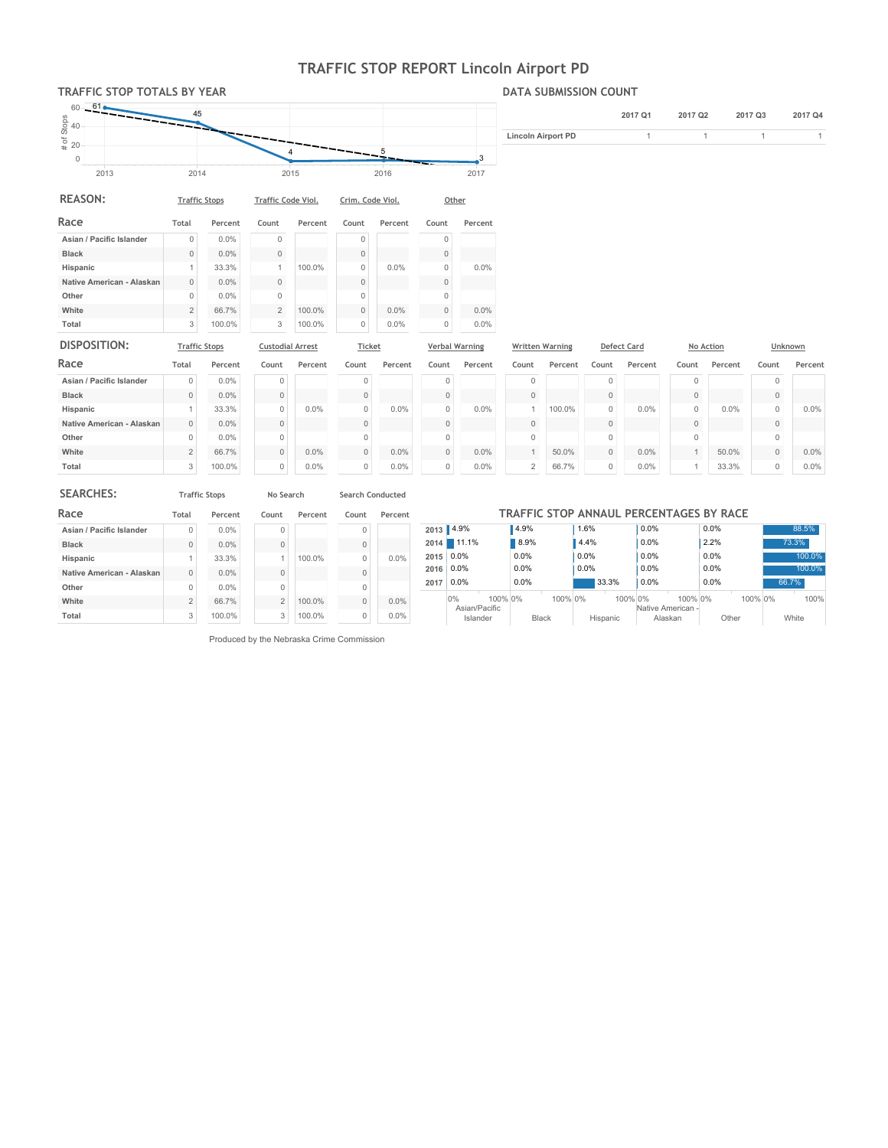# TRAFFIC STOP REPORT Lincoln Airport PD

## TRAFFIC STOP TOTALS BY YEAR



| <b>REASON:</b>            | <b>Traffic Stops</b> |         | <b>Traffic Code Viol.</b> |         | Crim. Code Viol. |         | Other    |         |  |
|---------------------------|----------------------|---------|---------------------------|---------|------------------|---------|----------|---------|--|
| Race                      | Total                | Percent | Count                     | Percent | Count            | Percent | Count    | Percent |  |
| Asian / Pacific Islander  | $\mathbf{0}$         | 0.0%    | $\Omega$                  |         | 0                |         | 0        |         |  |
| <b>Black</b>              | 0                    | $0.0\%$ | $\Omega$                  |         | $\Omega$         |         | $\Omega$ |         |  |
| Hispanic                  | 4                    | 33.3%   | 1                         | 100.0%  | 0                | 0.0%    | 0        | 0.0%    |  |
| Native American - Alaskan | 0                    | $0.0\%$ | $\Omega$                  |         | $\Omega$         |         | $\Omega$ |         |  |
| Other                     | 0                    | $0.0\%$ | $\Omega$                  |         | 0                |         | $\Omega$ |         |  |
| White                     | $\overline{2}$       | 66.7%   | $\overline{2}$            | 100.0%  | $\Omega$         | $0.0\%$ | 0        | $0.0\%$ |  |
| Total                     | 3                    | 100.0%  | 3                         | 100.0%  | 0                | $0.0\%$ | U        | $0.0\%$ |  |

| DISPOSITION:              | <b>Traffic Stops</b> |         | <b>Custodial Arrest</b> |         | <b>Ticket</b> |         | <b>Verbal Warning</b> |         | <b>Written Warning</b> |         |          | <b>Defect Card</b> |          | No Action | Unknown  |         |
|---------------------------|----------------------|---------|-------------------------|---------|---------------|---------|-----------------------|---------|------------------------|---------|----------|--------------------|----------|-----------|----------|---------|
| Race                      | Total                | Percent | Count                   | Percent | Count         | Percent | Count                 | Percent | Count                  | Percent | Count    | Percent            | Count    | Percent   | Count    | Percent |
| Asian / Pacific Islander  | $\mathbf 0$          | 0.0%    | $\Omega$                |         | 0             |         | $\Omega$              |         |                        |         | $\Omega$ |                    | 0        |           | $\Omega$ |         |
| <b>Black</b>              | $\mathbf{0}$         | $0.0\%$ | $\Omega$                |         |               |         | $\Omega$              |         |                        |         | $\Omega$ |                    | $\Omega$ |           | $\Omega$ |         |
| Hispanic                  |                      | 33.3%   | $\Omega$                | 0.0%    | 0             | $0.0\%$ | $\Omega$              | $0.0\%$ |                        | 100.0%  | $\Omega$ | 0.0%               | $\Omega$ | $0.0\%$   | $\Omega$ | $0.0\%$ |
| Native American - Alaskan | $\mathbf{0}$         | $0.0\%$ | $\Omega$                |         | $\Omega$      |         | $\Omega$              |         |                        |         | $\Omega$ |                    | $\Omega$ |           | $\Omega$ |         |
| Other                     | $\Omega$             | $0.0\%$ | $\Omega$                |         | 0             |         | $\Omega$              |         |                        |         | $\Omega$ |                    | $\Omega$ |           | $\Omega$ |         |
| White                     | $\overline{2}$       | 66.7%   | $\mathbf{0}$            | 0.0%    | $\mathbf{0}$  | 0.0%    | $\Omega$              | 0.0%    |                        | 50.0%   | $\Omega$ | 0.0%               |          | 50.0%     | $\Omega$ | $0.0\%$ |
| Total                     | 3                    | 100.0%  | $\Omega$                | 0.0%    | 0             | $0.0\%$ | $\Omega$              | $0.0\%$ | $\sim$                 | 66.7%   | $\Omega$ | $0.0\%$            |          | 33.3%     | $\Omega$ | $0.0\%$ |

| <b>SEARCHES:</b>          |          | <b>Traffic Stops</b> | No Search      |         | <b>Search Conducted</b> |         |      |                                |         |          |                                         |         |
|---------------------------|----------|----------------------|----------------|---------|-------------------------|---------|------|--------------------------------|---------|----------|-----------------------------------------|---------|
| Race                      | Total    | Percent              | Count          | Percent | Count                   | Percent |      |                                |         |          | TRAFFIC STOP ANNAUL PERCENTAGES BY RACE |         |
| Asian / Pacific Islander  |          | 0.0%                 | 0              |         | $\Omega$                |         |      | 2013 4.9%                      | 4.9%    | 1.6%     | 0.0%                                    | $0.0\%$ |
| <b>Black</b>              |          | 0.0%                 | $\Omega$       |         | $\Omega$                |         |      | 2014 11.1%                     | 8.9%    | 4.4%     | 0.0%                                    | 2.2%    |
| Hispanic                  |          | 33.3%                |                | 100.0%  | $\Omega$                | $0.0\%$ |      | 2015 0.0%                      | $0.0\%$ | $0.0\%$  | 0.0%                                    | 0.0%    |
| Native American - Alaskan | $\Omega$ | $0.0\%$              | $\Omega$       |         |                         |         | 2016 | $ 0.0\%$                       | $0.0\%$ | $0.0\%$  | 0.0%                                    | 0.0%    |
| Other                     |          | 0.0%                 | 0              |         | $\Omega$                |         | 2017 | $0.0\%$                        | $0.0\%$ | 33.3%    | 0.0%                                    | $0.0\%$ |
| White                     | $\sim$   | 66.7%                | $\overline{2}$ | 100.0%  | $\Omega$                | $0.0\%$ |      | 100% 0%<br>0%<br>Asian/Pacific | 100% 0% | 100% 0%  | 100% 0%<br>Native American -            | 10      |
| Total                     | 3        | 100.0%               | $\overline{3}$ | 100.0%  | $\Omega$                | $0.0\%$ |      | Islander                       | Black   | Hispanic | Alaskan                                 | Other   |

Produced by the Nebraska Crime Commission

### DATA SUBMISSION COUNT

|                    | 2017 Q1 | 2017 Q <sub>2</sub> | 2017 Q3 | 2017 Q4 |
|--------------------|---------|---------------------|---------|---------|
| Lincoln Airport PD |         |                     |         |         |
|                    |         |                     |         |         |

0% 100%

0% 100% White

100.0% 100.0%

88.5% 73.3%

66.7%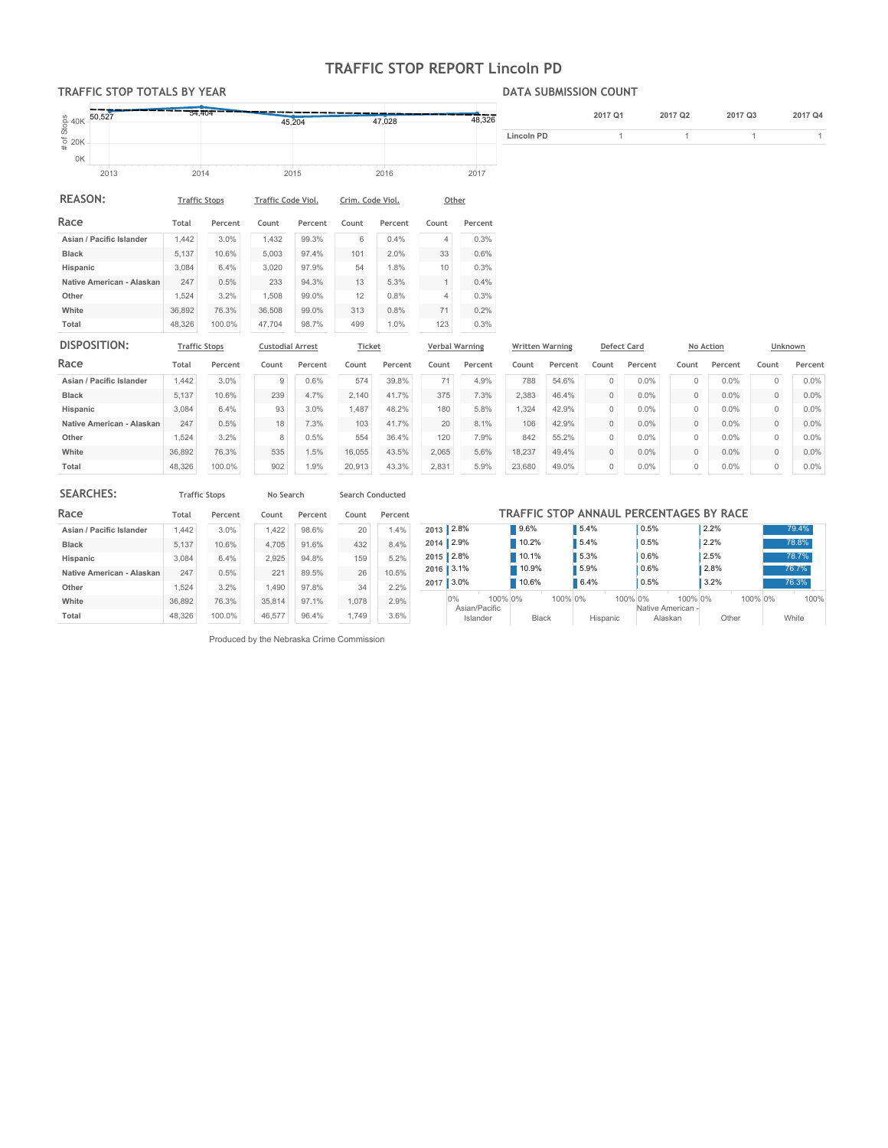# TRAFFIC STOP REPORT Lincoln PD

### TRAFFIC STOP TOTALS BY YEAR

#### DATA SUBMISSION COUNT

| $\frac{8}{9}$ 40K | 50,527 | 54,404               | 45,204             | 47.028           | 48,326 |            | 2017 Q1 | 2017 Q <sub>2</sub> | 2017 Q3 | 2017 Q4 |
|-------------------|--------|----------------------|--------------------|------------------|--------|------------|---------|---------------------|---------|---------|
| 520K<br>#         |        |                      |                    |                  |        | Lincoln PD |         |                     |         |         |
| 0K                |        |                      |                    |                  |        |            |         |                     |         |         |
|                   | 2013   | 2014                 | 2015               | 2016             | 2017   |            |         |                     |         |         |
| <b>REASON:</b>    |        | <b>Traffic Stops</b> | Traffic Code Viol. | Crim. Code Viol. | Other  |            |         |                     |         |         |

| Race                      | Total  | Percent | Count  | Percent | Count | Percent | Count | Percent |
|---------------------------|--------|---------|--------|---------|-------|---------|-------|---------|
| Asian / Pacific Islander  | 1.442  | 3.0%    | 1.432  | 99.3%   | 6     | $0.4\%$ | 4     | 0.3%    |
| <b>Black</b>              | 5.137  | 10.6%   | 5.003  | 97.4%   | 101   | 2.0%    | 33    | 0.6%    |
| Hispanic                  | 3.084  | 6.4%    | 3.020  | 97.9%   | 54    | 1.8%    | 10    | 0.3%    |
| Native American - Alaskan | 247    | 0.5%    | 233    | 94.3%   | 13    | 5.3%    |       | 0.4%    |
| Other                     | 1.524  | 3.2%    | 1.508  | 99.0%   | 12    | 0.8%    | 4     | 0.3%    |
| White                     | 36.892 | 76.3%   | 36.508 | 99.0%   | 313   | 0.8%    | 71    | 0.2%    |
| Total                     | 48.326 | 100.0%  | 47.704 | 98.7%   | 499   | 1.0%    | 123   | 0.3%    |

| DISPOSITION:              | <b>Traffic Stops</b> |         | <b>Custodial Arrest</b> |         | <b>Ticket</b> |         | <b>Verbal Warning</b> |         |        | <b>Written Warning</b> |          | <b>Defect Card</b> |          | No Action |          | Unknown |
|---------------------------|----------------------|---------|-------------------------|---------|---------------|---------|-----------------------|---------|--------|------------------------|----------|--------------------|----------|-----------|----------|---------|
| Race                      | Total                | Percent | Count                   | Percent | Count         | Percent | Count                 | Percent | Count  | Percent                | Count    | Percent            | Count    | Percent   | Count    | Percent |
| Asian / Pacific Islander  | .442                 | 3.0%    | 9                       | 0.6%    | 574           | 39.8%   | 71                    | 4.9%    | 788    | 54.6%                  | $\Omega$ | 0.0%               | $\Omega$ | 0.0%      | $\Omega$ | $0.0\%$ |
| <b>Black</b>              | 5.137                | 10.6%   | 239                     | 4.7%    | 2.140         | 41.7%   | 375                   | 7.3%    | 2.383  | 46.4%                  | $\Omega$ | 0.0%               | $\Omega$ | 0.0%      | $\Omega$ | 0.0%    |
| Hispanic                  | 3.084                | 6.4%    | 93                      | 3.0%    | .487          | 48.2%   | 180                   | 5.8%    | .324   | 42.9%                  | $\Omega$ | 0.0%               | $\Omega$ | 0.0%      | $\Omega$ | $0.0\%$ |
| Native American - Alaskan | 247                  | 0.5%    | 18                      | 7.3%    | 103           | 41.7%   | 20                    | 8.1%    | 106    | 42.9%                  | $\Omega$ | 0.0%               | $\Omega$ | 0.0%      | $\Omega$ | 0.0%    |
| Other                     | 1,524                | 3.2%    | 8                       | 0.5%    | 554           | 36.4%   | 120                   | 7.9%    | 842    | 55.2%                  | $\Omega$ | 0.0%               | $\Omega$ | 0.0%      | $\Omega$ | $0.0\%$ |
| White                     | 36.892               | 76.3%   | 535                     | 1.5%    | 16.055        | 43.5%   | 2.065                 | 5.6%    | 18.237 | 49.4%                  | $\Omega$ | 0.0%               | $\Omega$ | 0.0%      | $\Omega$ | 0.0%    |
| Total                     | 48,326               | 100.0%  | 902                     | 1.9%    | 20,913        | 43.3%   | 2,831                 | 5.9%    | 23,680 | 49.0%                  | $\Omega$ | 0.0%               | $\Omega$ | 0.0%      | $\Omega$ | $0.0\%$ |

| <b>SEARCHES:</b>          |        | <b>Traffic Stops</b> | No Search |         | Search Conducted |         |  |
|---------------------------|--------|----------------------|-----------|---------|------------------|---------|--|
| Race                      | Total  | Percent              | Count     | Percent | Count            | Percent |  |
| Asian / Pacific Islander  | 1.442  | 3.0%                 | 1.422     | 98.6%   | 20               | 1.4%    |  |
| <b>Black</b>              | 5.137  | 10.6%                | 4.705     | 91.6%   | 432              | 8.4%    |  |
| Hispanic                  | 3.084  | 6.4%                 | 2.925     | 94.8%   | 159              | 5.2%    |  |
| Native American - Alaskan | 247    | 0.5%                 | 221       | 89.5%   | 26               | 10.5%   |  |
| Other                     | 1.524  | 3.2%                 | 1.490     | 97.8%   | 34               | 2.2%    |  |
| White                     | 36.892 | 76.3%                | 35.814    | 97.1%   | 1.078            | 2.9%    |  |
| Total                     | 48.326 | 100.0%               | 46.577    | 96.4%   | 1.749            | 3.6%    |  |

|           | TRAFFIC STOP ANNAUL PERCENTAGES BY RACE |         |          |                              |         |              |  |  |  |  |  |  |
|-----------|-----------------------------------------|---------|----------|------------------------------|---------|--------------|--|--|--|--|--|--|
|           | 2013 2.8%<br>9.6%                       |         | 5.4%     | 0.5%                         | 2.2%    | 79.4%        |  |  |  |  |  |  |
| 2014 2.9% |                                         | 10.2%   | 5.4%     | 0.5%                         | 2.2%    | 78.8%        |  |  |  |  |  |  |
|           | 2015 2.8%                               | 10.1%   | 5.3%     | 0.6%                         | 2.5%    | 78.7%        |  |  |  |  |  |  |
|           | 2016 3.1%<br>10.9%                      |         | 5.9%     | 0.6%                         | 2.8%    | 76.7%        |  |  |  |  |  |  |
| 2017      | 3.0%                                    | 10.6%   | 6.4%     | 0.5%                         | 3.2%    | 76.3%        |  |  |  |  |  |  |
|           | 100% 0%<br>$0\%$<br>Asian/Pacific       | 100% 0% | 100% 0%  | 100% 0%<br>Native American - | 100% 0% | 100%         |  |  |  |  |  |  |
|           | Islander                                | Black   | Hispanic | Alaskan                      | Other   | <b>White</b> |  |  |  |  |  |  |

Produced by the Nebraska Crime Commission